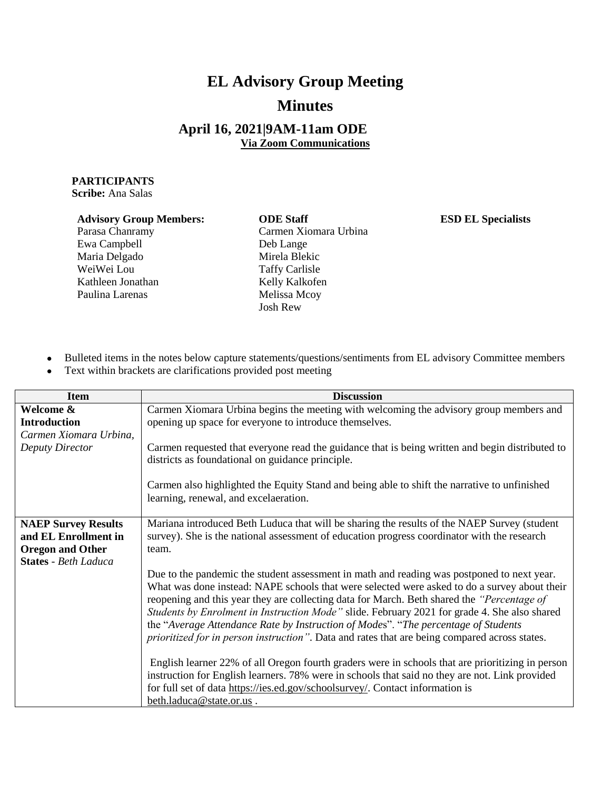## **EL Advisory Group Meeting Minutes**

## **April 16, 2021|9AM-11am ODE Via Zoom Communications**

## **PARTICIPANTS**

**Scribe:** Ana Salas

## **Advisory Group Members: ODE Staff ESD EL Specialists**

Parasa Chanramy Ewa Campbell Maria Delgado WeiWei Lou Kathleen Jonathan Paulina Larenas

Carmen Xiomara Urbina Deb Lange Mirela Blekic Taffy Carlisle Kelly Kalkofen Melissa Mcoy Josh Rew

- Bulleted items in the notes below capture statements/questions/sentiments from EL advisory Committee members
- Text within brackets are clarifications provided post meeting

| <b>Item</b>                                                                                                  | <b>Discussion</b>                                                                                                                                                                                                                                                                                                                                                                                                                                                                                                                                                               |
|--------------------------------------------------------------------------------------------------------------|---------------------------------------------------------------------------------------------------------------------------------------------------------------------------------------------------------------------------------------------------------------------------------------------------------------------------------------------------------------------------------------------------------------------------------------------------------------------------------------------------------------------------------------------------------------------------------|
| Welcome &<br><b>Introduction</b><br>Carmen Xiomara Urbina,                                                   | Carmen Xiomara Urbina begins the meeting with welcoming the advisory group members and<br>opening up space for everyone to introduce themselves.                                                                                                                                                                                                                                                                                                                                                                                                                                |
| Deputy Director                                                                                              | Carmen requested that everyone read the guidance that is being written and begin distributed to<br>districts as foundational on guidance principle.                                                                                                                                                                                                                                                                                                                                                                                                                             |
|                                                                                                              | Carmen also highlighted the Equity Stand and being able to shift the narrative to unfinished<br>learning, renewal, and excelaeration.                                                                                                                                                                                                                                                                                                                                                                                                                                           |
| <b>NAEP Survey Results</b><br>and EL Enrollment in<br><b>Oregon and Other</b><br><b>States - Beth Laduca</b> | Mariana introduced Beth Luduca that will be sharing the results of the NAEP Survey (student<br>survey). She is the national assessment of education progress coordinator with the research<br>team.                                                                                                                                                                                                                                                                                                                                                                             |
|                                                                                                              | Due to the pandemic the student assessment in math and reading was postponed to next year.<br>What was done instead: NAPE schools that were selected were asked to do a survey about their<br>reopening and this year they are collecting data for March. Beth shared the "Percentage of<br>Students by Enrolment in Instruction Mode" slide. February 2021 for grade 4. She also shared<br>the "Average Attendance Rate by Instruction of Modes". "The percentage of Students<br>prioritized for in person instruction". Data and rates that are being compared across states. |
|                                                                                                              | English learner 22% of all Oregon fourth graders were in schools that are prioritizing in person<br>instruction for English learners. 78% were in schools that said no they are not. Link provided<br>for full set of data https://ies.ed.gov/schoolsurvey/. Contact information is<br>beth.laduca@state.or.us.                                                                                                                                                                                                                                                                 |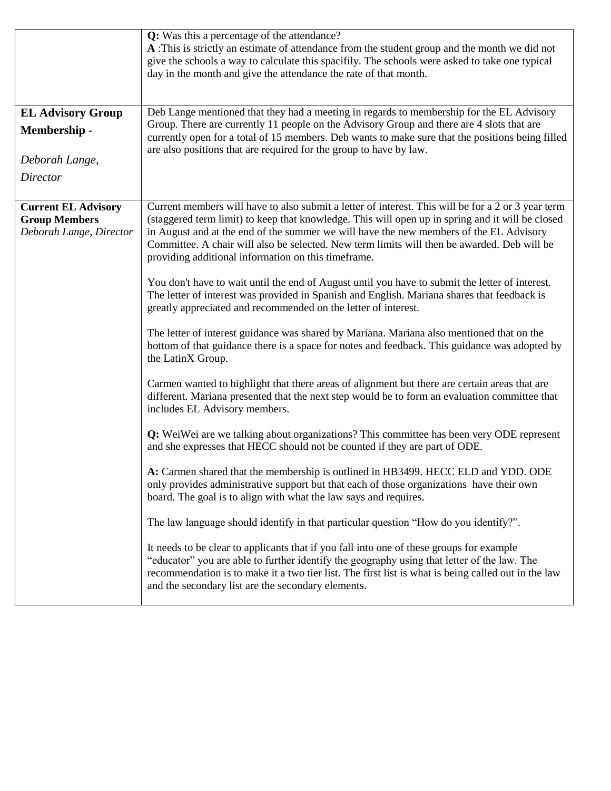|                                                                               | Q: Was this a percentage of the attendance?<br>A :This is strictly an estimate of attendance from the student group and the month we did not<br>give the schools a way to calculate this spacifily. The schools were asked to take one typical<br>day in the month and give the attendance the rate of that month.                                                                                                                                     |
|-------------------------------------------------------------------------------|--------------------------------------------------------------------------------------------------------------------------------------------------------------------------------------------------------------------------------------------------------------------------------------------------------------------------------------------------------------------------------------------------------------------------------------------------------|
| <b>EL Advisory Group</b><br>Membership -<br>Deborah Lange,<br><b>Director</b> | Deb Lange mentioned that they had a meeting in regards to membership for the EL Advisory<br>Group. There are currently 11 people on the Advisory Group and there are 4 slots that are<br>currently open for a total of 15 members. Deb wants to make sure that the positions being filled<br>are also positions that are required for the group to have by law.                                                                                        |
|                                                                               |                                                                                                                                                                                                                                                                                                                                                                                                                                                        |
| <b>Current EL Advisory</b><br><b>Group Members</b><br>Deborah Lange, Director | Current members will have to also submit a letter of interest. This will be for a 2 or 3 year term<br>(staggered term limit) to keep that knowledge. This will open up in spring and it will be closed<br>in August and at the end of the summer we will have the new members of the EL Advisory<br>Committee. A chair will also be selected. New term limits will then be awarded. Deb will be<br>providing additional information on this timeframe. |
|                                                                               | You don't have to wait until the end of August until you have to submit the letter of interest.<br>The letter of interest was provided in Spanish and English. Mariana shares that feedback is<br>greatly appreciated and recommended on the letter of interest.                                                                                                                                                                                       |
|                                                                               | The letter of interest guidance was shared by Mariana. Mariana also mentioned that on the<br>bottom of that guidance there is a space for notes and feedback. This guidance was adopted by<br>the LatinX Group.                                                                                                                                                                                                                                        |
|                                                                               | Carmen wanted to highlight that there areas of alignment but there are certain areas that are<br>different. Mariana presented that the next step would be to form an evaluation committee that<br>includes EL Advisory members.                                                                                                                                                                                                                        |
|                                                                               | Q: WeiWei are we talking about organizations? This committee has been very ODE represent<br>and she expresses that HECC should not be counted if they are part of ODE.                                                                                                                                                                                                                                                                                 |
|                                                                               | A: Carmen shared that the membership is outlined in HB3499. HECC ELD and YDD. ODE<br>only provides administrative support but that each of those organizations have their own<br>board. The goal is to align with what the law says and requires.                                                                                                                                                                                                      |
|                                                                               | The law language should identify in that particular question "How do you identify?".                                                                                                                                                                                                                                                                                                                                                                   |
|                                                                               | It needs to be clear to applicants that if you fall into one of these groups for example<br>"educator" you are able to further identify the geography using that letter of the law. The<br>recommendation is to make it a two tier list. The first list is what is being called out in the law<br>and the secondary list are the secondary elements.                                                                                                   |